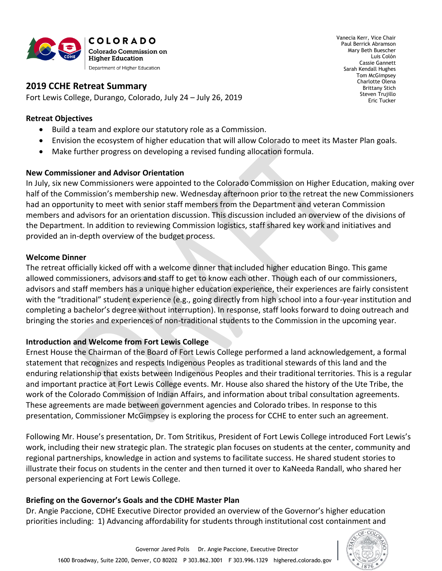

Vanecia Kerr, Vice Chair Paul Berrick Abramson Mary Beth Buescher Luis Colón Cassie Gannett Sarah Kendall Hughes Tom McGimpsey Charlotte Olena Brittany Stich Steven Trujillo Eric Tucker

## **2019 CCHE Retreat Summary**

Fort Lewis College, Durango, Colorado, July 24 – July 26, 2019

#### **Retreat Objectives**

- Build a team and explore our statutory role as a Commission.
- Envision the ecosystem of higher education that will allow Colorado to meet its Master Plan goals.
- Make further progress on developing a revised funding allocation formula.

#### **New Commissioner and Advisor Orientation**

In July, six new Commissioners were appointed to the Colorado Commission on Higher Education, making over half of the Commission's membership new. Wednesday afternoon prior to the retreat the new Commissioners had an opportunity to meet with senior staff members from the Department and veteran Commission members and advisors for an orientation discussion. This discussion included an overview of the divisions of the Department. In addition to reviewing Commission logistics, staff shared key work and initiatives and provided an in-depth overview of the budget process.

#### **Welcome Dinner**

The retreat officially kicked off with a welcome dinner that included higher education Bingo. This game allowed commissioners, advisors and staff to get to know each other. Though each of our commissioners, advisors and staff members has a unique higher education experience, their experiences are fairly consistent with the "traditional" student experience (e.g., going directly from high school into a four-year institution and completing a bachelor's degree without interruption). In response, staff looks forward to doing outreach and bringing the stories and experiences of non-traditional students to the Commission in the upcoming year.

## **Introduction and Welcome from Fort Lewis College**

Ernest House the Chairman of the Board of Fort Lewis College performed a land acknowledgement, a formal statement that recognizes and respects Indigenous Peoples as traditional stewards of this land and the enduring relationship that exists between Indigenous Peoples and their traditional territories. This is a regular and important practice at Fort Lewis College events. Mr. House also shared the history of the Ute Tribe, the work of the Colorado Commission of Indian Affairs, and information about tribal consultation agreements. These agreements are made between government agencies and Colorado tribes. In response to this presentation, Commissioner McGimpsey is exploring the process for CCHE to enter such an agreement.

Following Mr. House's presentation, Dr. Tom Stritikus, President of Fort Lewis College introduced Fort Lewis's work, including their new strategic plan. The strategic plan focuses on students at the center, community and regional partnerships, knowledge in action and systems to facilitate success. He shared student stories to illustrate their focus on students in the center and then turned it over to KaNeeda Randall, who shared her personal experiencing at Fort Lewis College.

## **Briefing on the Governor's Goals and the CDHE Master Plan**

Dr. Angie Paccione, CDHE Executive Director provided an overview of the Governor's higher education priorities including: 1) Advancing affordability for students through institutional cost containment and

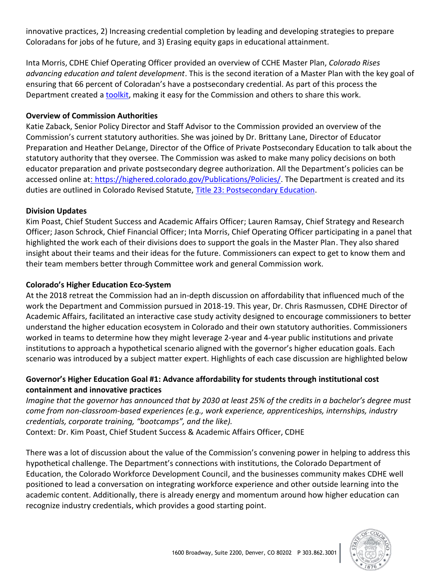innovative practices, 2) Increasing credential completion by leading and developing strategies to prepare Coloradans for jobs of he future, and 3) Erasing equity gaps in educational attainment.

Inta Morris, CDHE Chief Operating Officer provided an overview of CCHE Master Plan, *Colorado Rises advancing education and talent development*. This is the second iteration of a Master Plan with the key goal of ensuring that 66 percent of Coloradan's have a postsecondary credential. As part of this process the Department created [a toolkit,](http://masterplan.highered.colorado.gov/toolkit/) making it easy for the Commission and others to share this work.

## **Overview of Commission Authorities**

Katie Zaback, Senior Policy Director and Staff Advisor to the Commission provided an overview of the Commission's current statutory authorities. She was joined by Dr. Brittany Lane, Director of Educator Preparation and Heather DeLange, Director of the Office of Private Postsecondary Education to talk about the statutory authority that they oversee. The Commission was asked to make many policy decisions on both educator preparation and private postsecondary degree authorization. All the Department's policies can be accessed online at: [https://highered.colorado.gov/Publications/Policies/.](https://highered.colorado.gov/Publications/Policies/) The Department is created and its duties are outlined in Colorado Revised Statute, [Title 23: Postsecondary Education.](https://leg.colorado.gov/sites/default/files/images/olls/crs2019-title-23.pdf)

#### **Division Updates**

Kim Poast, Chief Student Success and Academic Affairs Officer; Lauren Ramsay, Chief Strategy and Research Officer; Jason Schrock, Chief Financial Officer; Inta Morris, Chief Operating Officer participating in a panel that highlighted the work each of their divisions does to support the goals in the Master Plan. They also shared insight about their teams and their ideas for the future. Commissioners can expect to get to know them and their team members better through Committee work and general Commission work.

## **Colorado's Higher Education Eco-System**

At the 2018 retreat the Commission had an in-depth discussion on affordability that influenced much of the work the Department and Commission pursued in 2018-19. This year, Dr. Chris Rasmussen, CDHE Director of Academic Affairs, facilitated an interactive case study activity designed to encourage commissioners to better understand the higher education ecosystem in Colorado and their own statutory authorities. Commissioners worked in teams to determine how they might leverage 2-year and 4-year public institutions and private institutions to approach a hypothetical scenario aligned with the governor's higher education goals. Each scenario was introduced by a subject matter expert. Highlights of each case discussion are highlighted below

## **Governor's Higher Education Goal #1: Advance affordability for students through institutional cost containment and innovative practices**

*Imagine that the governor has announced that by 2030 at least 25% of the credits in a bachelor's degree must come from non-classroom-based experiences (e.g., work experience, apprenticeships, internships, industry credentials, corporate training, "bootcamps", and the like).*  Context: Dr. Kim Poast, Chief Student Success & Academic Affairs Officer, CDHE

There was a lot of discussion about the value of the Commission's convening power in helping to address this hypothetical challenge. The Department's connections with institutions, the Colorado Department of Education, the Colorado Workforce Development Council, and the businesses community makes CDHE well positioned to lead a conversation on integrating workforce experience and other outside learning into the academic content. Additionally, there is already energy and momentum around how higher education can recognize industry credentials, which provides a good starting point.

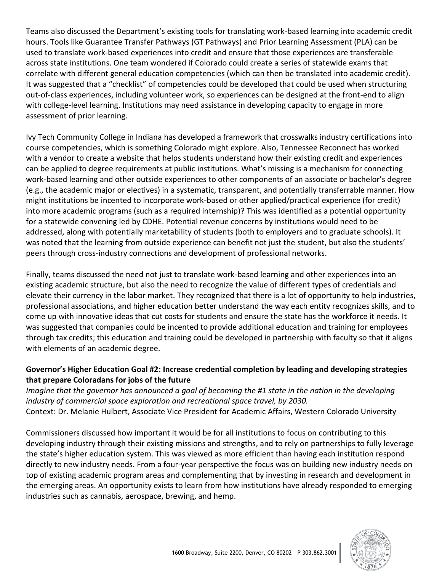Teams also discussed the Department's existing tools for translating work-based learning into academic credit hours. Tools like Guarantee Transfer Pathways (GT Pathways) and Prior Learning Assessment (PLA) can be used to translate work-based experiences into credit and ensure that those experiences are transferable across state institutions. One team wondered if Colorado could create a series of statewide exams that correlate with different general education competencies (which can then be translated into academic credit). It was suggested that a "checklist" of competencies could be developed that could be used when structuring out-of-class experiences, including volunteer work, so experiences can be designed at the front-end to align with college-level learning. Institutions may need assistance in developing capacity to engage in more assessment of prior learning.

Ivy Tech Community College in Indiana has developed a framework that crosswalks industry certifications into course competencies, which is something Colorado might explore. Also, Tennessee Reconnect has worked with a vendor to create a website that helps students understand how their existing credit and experiences can be applied to degree requirements at public institutions. What's missing is a mechanism for connecting work-based learning and other outside experiences to other components of an associate or bachelor's degree (e.g., the academic major or electives) in a systematic, transparent, and potentially transferrable manner. How might institutions be incented to incorporate work-based or other applied/practical experience (for credit) into more academic programs (such as a required internship)? This was identified as a potential opportunity for a statewide convening led by CDHE. Potential revenue concerns by institutions would need to be addressed, along with potentially marketability of students (both to employers and to graduate schools). It was noted that the learning from outside experience can benefit not just the student, but also the students' peers through cross-industry connections and development of professional networks.

Finally, teams discussed the need not just to translate work-based learning and other experiences into an existing academic structure, but also the need to recognize the value of different types of credentials and elevate their currency in the labor market. They recognized that there is a lot of opportunity to help industries, professional associations, and higher education better understand the way each entity recognizes skills, and to come up with innovative ideas that cut costs for students and ensure the state has the workforce it needs. It was suggested that companies could be incented to provide additional education and training for employees through tax credits; this education and training could be developed in partnership with faculty so that it aligns with elements of an academic degree.

# **Governor's Higher Education Goal #2: Increase credential completion by leading and developing strategies that prepare Coloradans for jobs of the future**

*Imagine that the governor has announced a goal of becoming the #1 state in the nation in the developing industry of commercial space exploration and recreational space travel, by 2030.* Context: Dr. Melanie Hulbert, Associate Vice President for Academic Affairs, Western Colorado University

Commissioners discussed how important it would be for all institutions to focus on contributing to this developing industry through their existing missions and strengths, and to rely on partnerships to fully leverage the state's higher education system. This was viewed as more efficient than having each institution respond directly to new industry needs. From a four-year perspective the focus was on building new industry needs on top of existing academic program areas and complementing that by investing in research and development in the emerging areas. An opportunity exists to learn from how institutions have already responded to emerging industries such as cannabis, aerospace, brewing, and hemp.

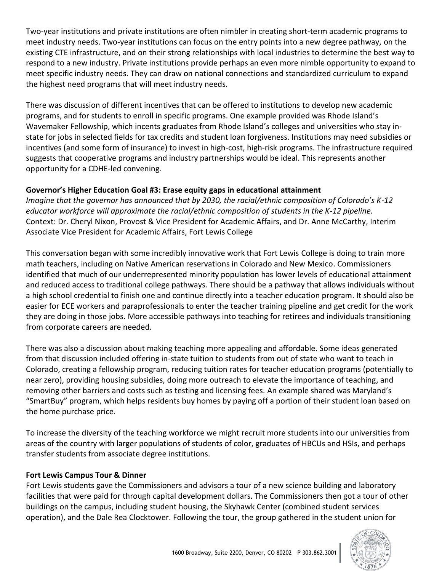Two-year institutions and private institutions are often nimbler in creating short-term academic programs to meet industry needs. Two-year institutions can focus on the entry points into a new degree pathway, on the existing CTE infrastructure, and on their strong relationships with local industries to determine the best way to respond to a new industry. Private institutions provide perhaps an even more nimble opportunity to expand to meet specific industry needs. They can draw on national connections and standardized curriculum to expand the highest need programs that will meet industry needs.

There was discussion of different incentives that can be offered to institutions to develop new academic programs, and for students to enroll in specific programs. One example provided was Rhode Island's Wavemaker Fellowship, which incents graduates from Rhode Island's colleges and universities who stay instate for jobs in selected fields for tax credits and student loan forgiveness. Institutions may need subsidies or incentives (and some form of insurance) to invest in high-cost, high-risk programs. The infrastructure required suggests that cooperative programs and industry partnerships would be ideal. This represents another opportunity for a CDHE-led convening.

# **Governor's Higher Education Goal #3: Erase equity gaps in educational attainment**

*Imagine that the governor has announced that by 2030, the racial/ethnic composition of Colorado's K-12 educator workforce will approximate the racial/ethnic composition of students in the K-12 pipeline.* Context: Dr. Cheryl Nixon, Provost & Vice President for Academic Affairs, and Dr. Anne McCarthy, Interim Associate Vice President for Academic Affairs, Fort Lewis College

This conversation began with some incredibly innovative work that Fort Lewis College is doing to train more math teachers, including on Native American reservations in Colorado and New Mexico. Commissioners identified that much of our underrepresented minority population has lower levels of educational attainment and reduced access to traditional college pathways. There should be a pathway that allows individuals without a high school credential to finish one and continue directly into a teacher education program. It should also be easier for ECE workers and paraprofessionals to enter the teacher training pipeline and get credit for the work they are doing in those jobs. More accessible pathways into teaching for retirees and individuals transitioning from corporate careers are needed.

There was also a discussion about making teaching more appealing and affordable. Some ideas generated from that discussion included offering in-state tuition to students from out of state who want to teach in Colorado, creating a fellowship program, reducing tuition rates for teacher education programs (potentially to near zero), providing housing subsidies, doing more outreach to elevate the importance of teaching, and removing other barriers and costs such as testing and licensing fees. An example shared was Maryland's "SmartBuy" program, which helps residents buy homes by paying off a portion of their student loan based on the home purchase price.

To increase the diversity of the teaching workforce we might recruit more students into our universities from areas of the country with larger populations of students of color, graduates of HBCUs and HSIs, and perhaps transfer students from associate degree institutions.

## **Fort Lewis Campus Tour & Dinner**

Fort Lewis students gave the Commissioners and advisors a tour of a new science building and laboratory facilities that were paid for through capital development dollars. The Commissioners then got a tour of other buildings on the campus, including student housing, the Skyhawk Center (combined student services operation), and the Dale Rea Clocktower. Following the tour, the group gathered in the student union for